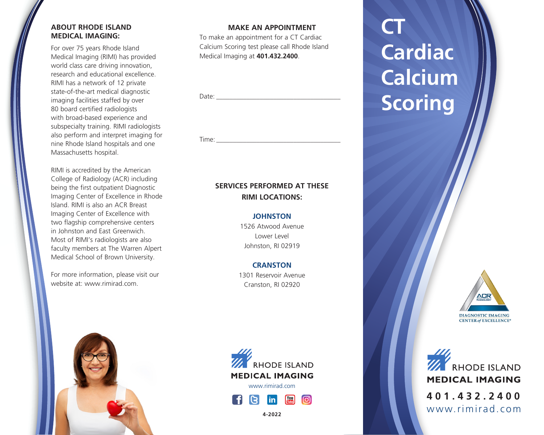## **ABOUT RHODE ISLAND MEDICAL IMAGING:**

For over 75 years Rhode Island Medical Imaging (RIMI) has provided world class care driving innovation, research and educational excellence. RIMI has a network of 12 private state-of-the-art medical diagnostic imaging facilities staffed by over 80 board certified radiologists with broad-based experience and subspecialty training. RIMI radiologists also perform and interpret imaging for nine Rhode Island hospitals and one Massachusetts hospital.

RIMI is accredited by the American College of Radiology (ACR) including being the first outpatient Diagnostic Imaging Center of Excellence in Rhode Island. RIMI is also an ACR Breast Imaging Center of Excellence with two flagship comprehensive centers in Johnston and East Greenwich. Most of RIMI's radiologists are also faculty members at The Warren Alpert Medical School of Brown University.

For more information, please visit our website at: www.rimirad.com.

### **MAKE AN APPOINTMENT**

To make an appointment for a CT Cardiac Calcium Scoring test please call Rhode Island Medical Imaging at **401.432.2400**.

Date:

Time: \_\_\_\_\_\_\_\_\_\_\_\_\_\_\_\_\_\_\_\_\_\_\_\_\_\_\_\_\_\_\_\_\_\_\_\_\_

## **SERVICES PERFORMED AT THESE RIMI LOCATIONS:**

#### **JOHNSTON**

1526 Atwood Avenue Lower Level Johnston, RI 02919

## **CRANSTON**

1301 Reservoir Avenue Cranston, RI 02920







**4-2022**

# **CT Cardiac Calcium Scoring**



**WE RHODE ISLAND MEDICAL IMAGING 401.432.2400** www.rimirad.com